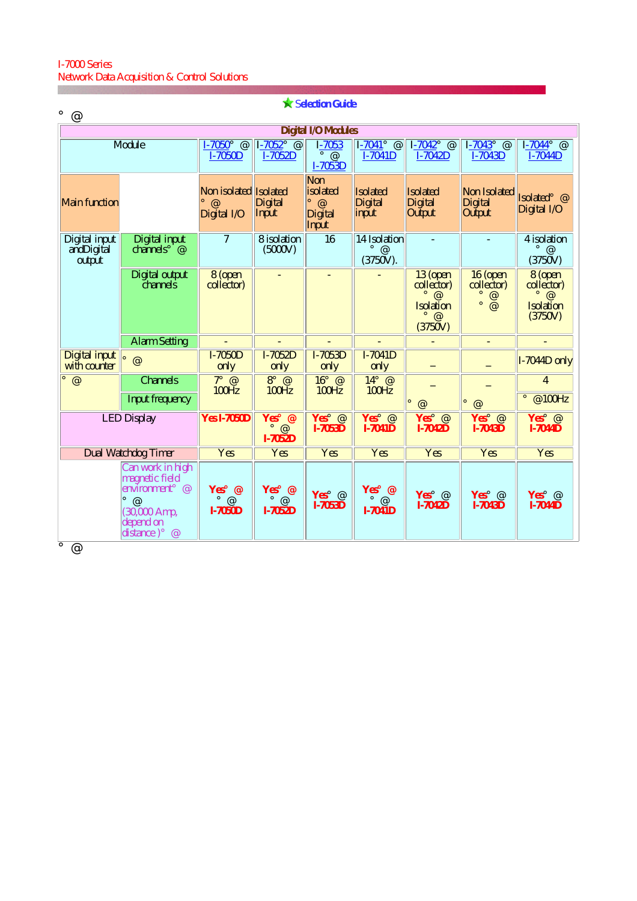## I-7000 Series Network Data Acquisition & Control Solutions

| <b>X Selection Guide</b><br>@                                                                                    |                                           |                                                  |                                             |                                                         |                                                               |                                                                        |                                                 |                                                                      |  |  |  |
|------------------------------------------------------------------------------------------------------------------|-------------------------------------------|--------------------------------------------------|---------------------------------------------|---------------------------------------------------------|---------------------------------------------------------------|------------------------------------------------------------------------|-------------------------------------------------|----------------------------------------------------------------------|--|--|--|
| <b>Digital I/O Modules</b>                                                                                       |                                           |                                                  |                                             |                                                         |                                                               |                                                                        |                                                 |                                                                      |  |  |  |
| <b>Module</b>                                                                                                    |                                           | $I-7050$ ; @<br>$I-7050D$                        | $1 - 7052$ ; $\omega$<br>I-7052D            | $I-7053$<br>$^\text{\textregistered}$<br><b>I-7053D</b> | $I - 7041$ ; @<br>$I-7041D$                                   | $I - 7042i$ @<br>$I-7042D$                                             | $I - 7043$ ; @<br>I-7043D                       | $I - 7044$ ; @<br>$I-7044D$                                          |  |  |  |
| <b>Main function</b>                                                                                             |                                           | Non isolated Isolated<br>$\omega$<br>Digital I/O | <b>Digital</b><br>Input                     | Non<br>isolated<br>$i \n\infty$<br>Digital<br>Input     | <b>Isolated</b><br><b>Digital</b><br>input                    | <b>Isolated</b><br><b>Digital</b><br>Output                            | Non Isolated<br><b>Digital</b><br><b>Output</b> | Isolated; @<br>Digital $\dot{I}/O$                                   |  |  |  |
| Digital input<br>andDigital<br>output                                                                            | <b>Digital input</b><br>channels; $\odot$ | $\overline{7}$                                   | 8 isolation<br>(5000V)                      | 16                                                      | <b>14 Isolation</b><br>$\mathbf{i} \ \mathcal{Q}$<br>(3750V). |                                                                        |                                                 | 4 isolation<br>$\mathbf{i} \ \mathcal{Q}$<br>(3750V)                 |  |  |  |
|                                                                                                                  | <b>Digital output</b><br><i>channels</i>  | 8 (open<br>collector)                            |                                             |                                                         |                                                               | 13 (open<br>collector)<br>@<br><b>Isolation</b><br>$\omega$<br>(3750V) | 16 (open<br>collector)<br>@<br>@                | 8 (open<br>collector)<br>$i \n\infty$<br><b>Isolation</b><br>(3750V) |  |  |  |
|                                                                                                                  | <b>Alarm Setting</b>                      |                                                  |                                             |                                                         |                                                               |                                                                        | -                                               |                                                                      |  |  |  |
| <b>Digital input</b><br>with counter                                                                             | $\circledcirc$                            | $I-7050D$<br>only                                | $I-7052D$<br>only                           | I-7053D<br>only                                         | $I-7041D$<br>only                                             |                                                                        |                                                 | I-7044D only                                                         |  |  |  |
| $\overline{\omega}$                                                                                              | <b>Channels</b>                           | $7i$ @<br>100 Hz                                 | $8i$ @<br>100Hz                             | $16i$ @<br>100Hz                                        | $14i \; \; \; \; \; \;$<br><b>100Hz</b>                       |                                                                        |                                                 | 4                                                                    |  |  |  |
|                                                                                                                  | <b>Input frequency</b>                    |                                                  |                                             |                                                         |                                                               | @                                                                      | @                                               | @100Hz                                                               |  |  |  |
| <b>LED Display</b>                                                                                               |                                           | <b>Yes I-7050D</b>                               | Yes <sub>i</sub> @<br>$\omega$<br>$I-7052D$ | Yes; $@$<br><b>I-7053D</b>                              | Yes; $@$<br><b>I-7041D</b>                                    | Yes <sub>i</sub> @<br>$I-7042D$                                        | Yes <sub>i</sub> @<br><b>I-7043D</b>            | $Yes$ @<br><b>I-7044D</b>                                            |  |  |  |
| <b>Dual Watchdog Timer</b>                                                                                       |                                           | <b>Yes</b>                                       | Yes                                         | <b>Yes</b>                                              | Yes                                                           | <b>Yes</b>                                                             | <b>Yes</b>                                      | Yes                                                                  |  |  |  |
| Can work in high<br>magnetic field<br>environment $\omega$<br>@<br>$(30,000$ Amp,<br>depend on<br>distance); $@$ |                                           | Yes; $@$<br>$i \omega$<br><b>I-7050D</b>         | Yes; $@$<br>$i \omega$<br>$I-7052D$         | Yes; $@$<br><b>I-7053D</b>                              | Yes; $@$<br>$i \omega$<br><b>I-7041D</b>                      | Yes; $@$<br><b>I-7042D</b>                                             | Yes; $@$<br><b>I-7043D</b>                      | Yes; $@$<br><b>I-7044D</b>                                           |  |  |  |
| $\Omega$                                                                                                         |                                           |                                                  |                                             |                                                         |                                                               |                                                                        |                                                 |                                                                      |  |  |  |

¡@